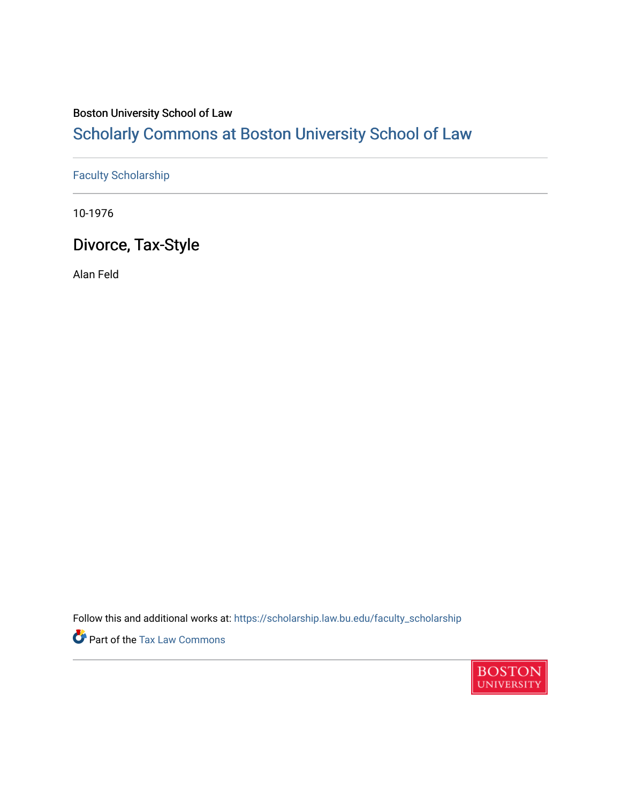## Boston University School of Law

# [Scholarly Commons at Boston University School of Law](https://scholarship.law.bu.edu/)

## [Faculty Scholarship](https://scholarship.law.bu.edu/faculty_scholarship)

10-1976

# Divorce, Tax-Style

Alan Feld

Follow this and additional works at: [https://scholarship.law.bu.edu/faculty\\_scholarship](https://scholarship.law.bu.edu/faculty_scholarship?utm_source=scholarship.law.bu.edu%2Ffaculty_scholarship%2F2686&utm_medium=PDF&utm_campaign=PDFCoverPages)

Part of the [Tax Law Commons](https://network.bepress.com/hgg/discipline/898?utm_source=scholarship.law.bu.edu%2Ffaculty_scholarship%2F2686&utm_medium=PDF&utm_campaign=PDFCoverPages)

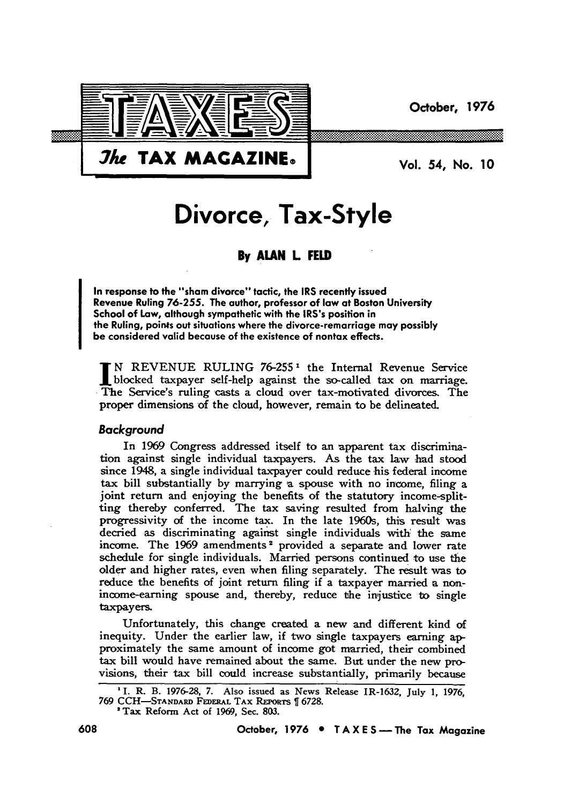**October, 1976**



*Jhe* **TAX MAGAZINE. IN THE Vol. 54, No. 10** 

# **Divorce, Tax-Style**

### **By ALAN L FELD**

In response to the "sham divorce" tactic, the IRS recently issued Revenue Ruling **76-255.** The author, professor of **law** at Boston University School of Law, although sympathetic with the IRS's position in the Ruling, poin4s out situations where the divorce-remarriage may possibly be considered valid because of the existence of nontax effects.

N REVENUE RULING **76-2551** the Internal Revenue Service blocked taxpayer self-help against the so-called tax on marriage. The Service's ruling casts a cloud over tax-motivated divorces. The proper dimensions of the cloud, however, remain to be delineated.

#### Background

In **1969** Congress addressed itself to an apparent tax discrimination against single individual taxpayers. As the tax law had stood since 1948, a single individual taxpayer could reduce his federal income tax bill substantially **by** marrying a spouse with no income, filing a joint return and enjoying the benefits of the statutory income-splitting thereby conferred. The tax saving resulted from halving the progressivity of the income tax. In the late 1960s, this result was decried as discriminating against single individuals with. the same income. The **1969** amendments 2 provided a separate and lower rate schedule for single individuals. Married persons continued to use the older and higher rates, even when filing separately. The result was to reduce the benefits of joint return filing if a taxpayer married a nonincome-earning spouse and, thereby, reduce the injustice to single taxpayers.

Unfortunately, this change created a new and different kind of inequity. Under the earlier law, if two single taxpayers earning **ap**proximately the same amount of income got married, their combined tax bill would have remained about the same. But under the new provisions, their tax bill could increase substantially, primarily because

'Tax Reform Act of **1969,** Sec. **803.**

**I. R.** B. **1976-28, 7.** Also issued as News Release IR-1632, July **1, 1976, 769 CCH-STANARD FEDERAL TAX REPORTS 6728.**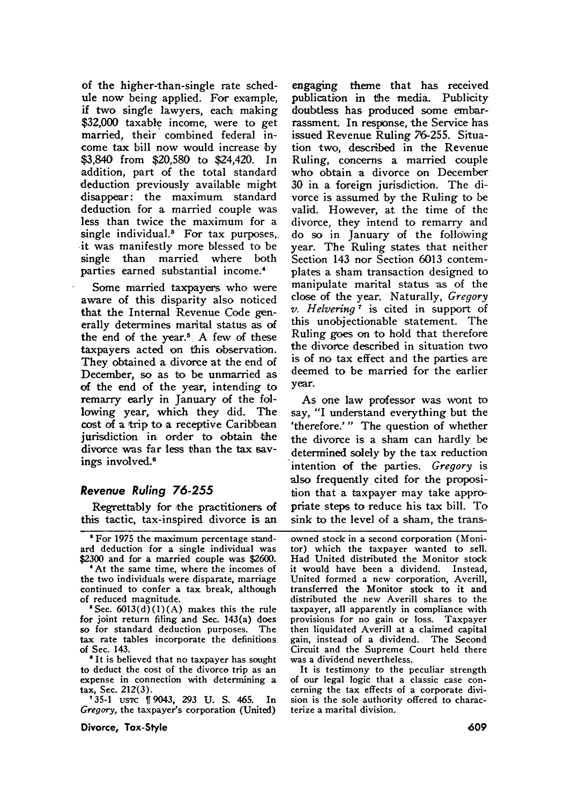of the higher-than-single rate schedule now being applied. For example, if two single lawyers, each making **\$32,000** taxable income, were to get married, their combined federal income tax bill now would increase **by** \$3,840 from \$20,580 to \$24,420. In addition, part of the total standard deduction previously available might disappear: the maximum standard deduction for a married couple was less than twice the maximum for a single individual.<sup>3</sup> For tax purposes, it was manifestly more blessed to be single than married where both parties earned substantial income.4

Some married taxpayers who were aware of this disparity also noticed that the Internal Revenue Code generally determines marital status as of the end of the year.<sup>5</sup> A few of these taxpayers acted on this observation. They obtained a divorce at the end of December, so as to be unmarried as of the end of the year, intending to remarry early in January of the following year, which they did. The cost of a trip to a receptive Caribbean jurisdiction in order to obtain the divorce was far less than the tax savings involved.<sup>6</sup>

#### **Revenue** Ruling **76-255**

Regrettably for the practitioners of this tactic, tax-inspired divorce is an

'For 1975 the maximum percentage standard deduction for a single individual was \$2300 and for a married couple was \$2600.

**"At** the same time, where the incomes **of** the two individuals were disparate, marriage continued to confer a tax break, although of reduced magnitude.

<sup>\*</sup>Sec.  $6013(d)(1)(A)$  makes this the rule for joint return filing and Sec. 143(a) does so for standard deduction purposes. The tax rate tables incorporate the definitions of Sec. 143.

**'** It is believed that no taxpayer has sought to deduct the cost of the divorce trip as an expense in connection with determining a tax, Sec. **212(3).**

**'35-1** usc 19043, 293 **U. S.** 465. In *Gregory,* the taxpayer's corporation (United)

**Divorce, Tax-Style**

engaging theme that has received publication in the media. Publicity doubtless has produced some embarrassment. In response, the Service has issued Revenue Ruling **76-255.** Situation two, described in the Revenue Ruling, concerns a married couple who obtain a divorce on December **30** in a foreign jurisdiction. The divorce is assumed **by** the Ruling to be valid. However, at the time of the divorce, they intend to remarry and do so in January of the following year. The Ruling states that neither Section 143 nor Section **6013** contemplates a sham transaction designed to manipulate marital status **'as** of the close **of** the year. Naturally, *Gregory v. Helvering* **7** is cited in support of this unobjectionable statement. The Ruling goes on to hold that therefore the divorce described in situation two is of no tax effect and the parties are deemed to be married for the earlier year.

As one law professor was wont to say, "I understand everything but the 'therefore.'" The question of whether the divorce is a sham can hardly be determined solely **by** the tax reduction intention of the parties. *Gregory* is also frequently cited for the proposition that a taxpayer may take appropriate steps to reduce his tax bill. To sink to the level of a sham, the trans-

owned stock in a second corporation (Monitor) which the taxpayer wanted to sell. Had United distributed the Monitor stock it would have been a dividend. Instead, United formed a new corporation, Averill, transferred the Monitor stock to it and distributed the new Averill shares to the taxpayer, all apparently in compliance with provisions for no gain or loss. Taxpayer then liquidated Averill at a claimed capital gain, instead of a dividend. The Second Circuit and the Supreme Court held there was a dividend nevertheless.

It is testimony to the peculiar strength of our legal logic that a classic case concerning the tax effects of a corporate division is the sole authority offered to characterize a marital division.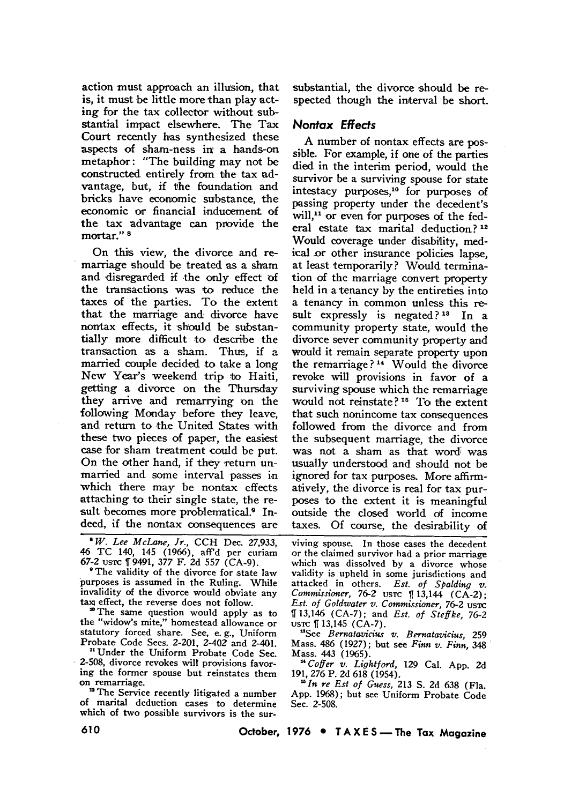action must approach an illusion, that is, it must be little more than play acting for the tax collector without substantial impact elsewhere. The Tax Court recently has synthesized these aspects of sham-ness **in'** a hands-on metaphor: "The building may not be constructed entirely from the tax advantage, but, if the foundation and bricks have economic substance, the economic or financial inducement of the tax advantage can provide the mortar." **<sup>8</sup>**

On this view, the divorce and remarriage should be treated as a sham and disregarded if the only effect of the transactions was to reduce the taxes of the parties. To the extent that the marriage and divorce have nontax effects, it should be substantially more difficult to describe the transaction as a sham. Thus, **if** a married couple decided to take a long New Year's weekend trip to Haiti, getting a divorce on the Thursday they arrive and remarrying on the following Monday before they leave, and return to the United States with these two pieces of paper, the easiest case for sham treatment could be put. On the other hand, if they return unmarried and some interval passes in which there may be nontax effects attaching to their single state, the result becomes more problematical.<sup>9</sup> Indeed, if the nontax consequences are

*'W. Lee McLane, Jr.,* CCH Dec. 27,933, 46 TC 140, 145 (1966), aff'd per curiam 67-2 us-rc 119491, 377 F. **2d 557** (CA-9).

'The validity of the divorce for state law purposes is assumed in the Ruling. While invalidity of the divorce would obviate any tax effect, the reverse does not follow.

**"** The same question would apply as to the "widow's mite," homestead allowance or statutory forced share. See, e. g., Uniform Probate Code Secs. 2-201, 2-402 and 2-401.

**"** Under the Uniform Probate Code Sec. **2-508,** divorce revokes will provisions favoring the former spouse but reinstates them on remarriage.

<sup>12</sup> The Service recently litigated a number of marital deduction cases to determine which of two possible survivors is the sursubstantial, the divorce should be respected though the interval be short.

#### Nontax Effects

**A** number of nontax effects are possible. For example, if one of the parties died in the interim period, would the survivor be a surviving spouse for state intestacy purposes,<sup>10</sup> for purposes of passing property under the decedent's will,<sup>11</sup> or even for purposes of the federal estate tax marital deduction? 12 Would coverage under disability, medical.or other insurance policies lapse, at least temporarily? Would termination **of** the marriage convert property held in a tenancy **by** the entireties into a tenancy in common unless this result expressly is negated? **13** In a community property state, would the divorce sever community property and would it remain separate property upon the remarriage **?** 14 Would the divorce revoke will provisions in favor **of** a surviving spouse which the remarriage would not reinstate? **1 <sup>5</sup>**To the extent that such nonincome tax consequences followed from the divorce and from the subsequent marriage, the divorce was not a sham as that word was usually understood and should not be ignored for tax purposes. More affirmatively, the divorce is real for tax purposes to the extent it is meaningful outside the closed world of income taxes. Of course, the desirability of

viving spouse. In those cases the decedent or the claimed survivor had a prior marriage which was dissolved **by** a divorce whose validity is upheld in some jurisdictions and attacked in others. *Est. of Spalding v. Commissioner*, 76-2 *ustc* **f** 13,144 (CA-2); *Est. of Goldwater v. Commissioner,* 76-2 usrc 13,146 (CA-7); and *Est. of Steffke, 76-2* ustc [13,145 (CA-7).

*"See Bernatavicius v. Bernatavicius,* **259** Mass. 486 (1927); but see *Finn v. Finn,* 348 Mass. 443 (1965).

*" Coffer v. Lightford,* **129** Cal. **App. 2d 191, 276** P. **2d 618** (1954).

*"In re Est of Guess,* **213 S. 2d 638** (Fla. **App. 1968);** but see Uniform Probate Code Sec. **2-508.**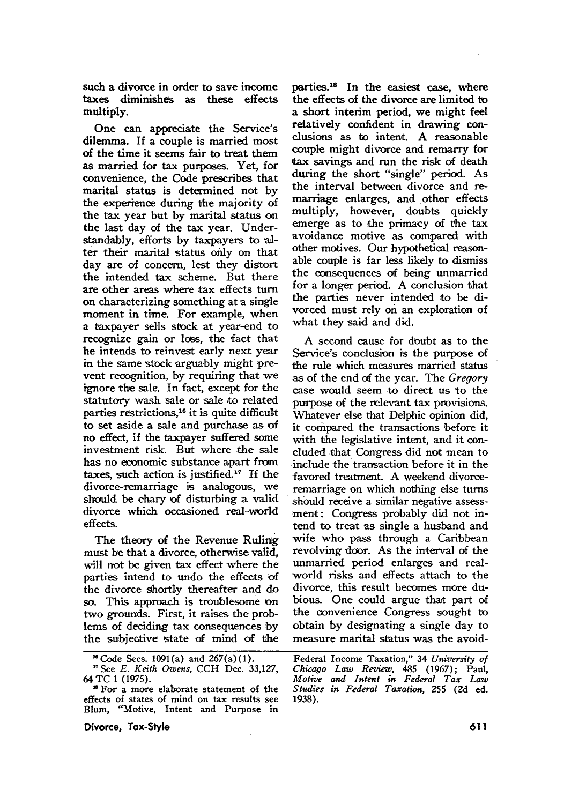such a divorce in order to save income taxes diminishes as these effects multiply.

One can appreciate the Service's dilemma. If a couple is married most of the time it seems fair to treat them as married for tax purposes. Yet, for convenience, the Code prescribes that marital status is determined not **by** the experience during the majority of the tax year but **by** marital status on the last day of the tax year. Understandably, efforts by taxpayers to **al**ter their marital status only on that day are **of** concern, lest they distort the intended tax scheme. But there are other areas where tax effects turn on characterizing something at a single moment in time. For example, when a taxpayer sells stock at year-end to recognize gain or loss, the fact that he intends to reinvest early next year in the same stock arguably might prevent recognition, by requiring that we ignore the sale. In fact, except for the statutory wash sale or sale to related parties restrictions,<sup>16</sup> it is quite difficult to set aside a sale and purchase as of no effect, if the taxpayer suffered some investment risk. But where the sale has no economic substance apart from taxes, such action is justified.<sup>17</sup> If the divorce-remarriage is analogous, we should be chary of disturbing a valid divorce which occasioned real-world effects.

The theory of the Revenue Ruling must be that a divorce, otherwise valid, will not be given tax effect where the parties intend to undo the effects of the divorce shortly thereafter and do so. This approach is troublesome on two grounds. First, it raises the problems of deciding tax consequences by the subjective state of mind of the

**Divorce, Tax-Style**

parties.18 In the easiest case, where the effects of the divorce are limited to a short interim period, we might feel relatively confident in drawing conclusions as to intent. A reasonable couple might divorce and remarry for tax savings and run the risk of death during the short "single" period. As the interval between divorce and remarriage enlarges, and other effects multiply, however, doubts quickly emerge as to the primacy of the tax avoidance motive as compared with other motives. Our hypothetical reasonable couple is far less likely to dismiss the consequences of being unmarried for a longer period. A conclusion that the parties never intended to be divorced must rely on an exploration of what they said and did.

A second cause for doubt as to the Service's conclusion is the purpose of the rule which measures married status as of the end of the year. The *Gregory* case would seem to direct us to the purpose of the relevant tax provisions. Whatever else that Delphic opinion did, it compared the transactions before it with the legislative intent, and it concluded that Congress did not mean to include the transaction before it in the favored treatment. A weekend divorceremarriage on which nothing else turns should receive a similar negative assessment: Congress probably did not intend to treat as single a husband and wife who pass through a Caribbean revolving door. As the interval of the unmarried period enlarges and realworld risks and effects attach to the divorce, this result becomes more dubious. One could argue that part of the convenience Congress sought to obtain by designating a single day to measure marital status was the avoid-

 $^{16}$  Code Secs. 1091(a) and 267(a)(1).

<sup>&</sup>quot;See *E. Keith Owens,* **CCH** Dec. 33,127, 64 TC 1 (1975).

<sup>&</sup>quot;For a more elaborate statement of the effects of states of mind on tax results see Blum, "Motive, Intent and Purpose in

Federal Income Taxation," 34 *University of Chicago Law Review,* 485 (1967); Paul, *Motive and Intent in Federal Tax Law Studies in Federal Taxation,* **255 (2d** ed. 1938).